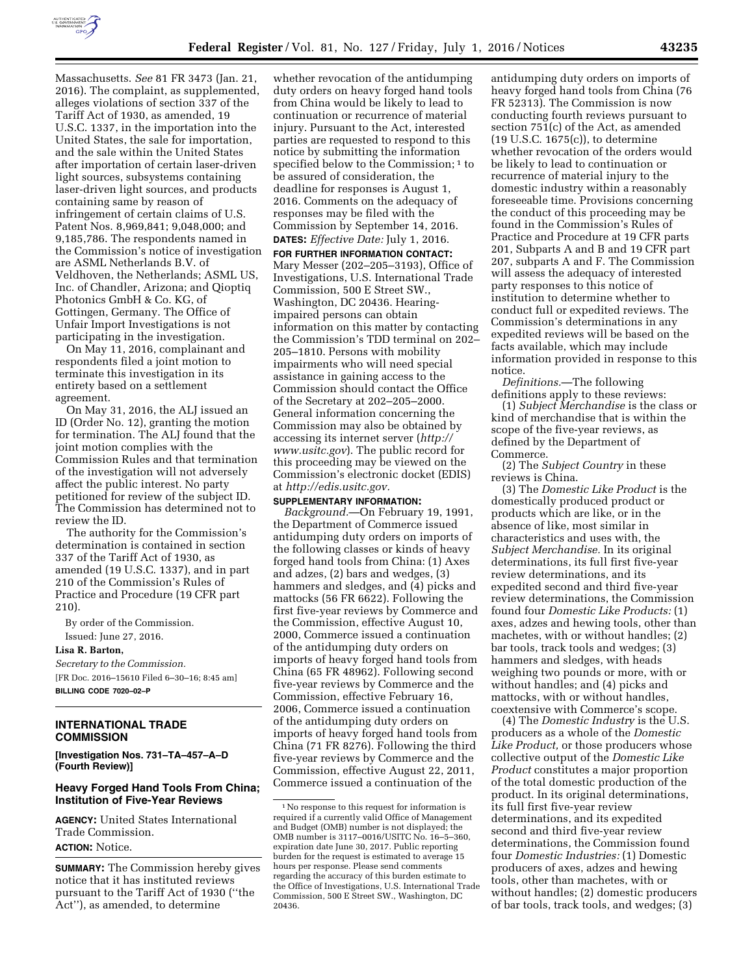

Massachusetts. *See* 81 FR 3473 (Jan. 21, 2016). The complaint, as supplemented, alleges violations of section 337 of the Tariff Act of 1930, as amended, 19 U.S.C. 1337, in the importation into the United States, the sale for importation, and the sale within the United States after importation of certain laser-driven light sources, subsystems containing laser-driven light sources, and products containing same by reason of infringement of certain claims of U.S. Patent Nos. 8,969,841; 9,048,000; and 9,185,786. The respondents named in the Commission's notice of investigation are ASML Netherlands B.V. of Veldhoven, the Netherlands; ASML US, Inc. of Chandler, Arizona; and Qioptiq Photonics GmbH & Co. KG, of Gottingen, Germany. The Office of Unfair Import Investigations is not participating in the investigation.

On May 11, 2016, complainant and respondents filed a joint motion to terminate this investigation in its entirety based on a settlement agreement.

On May 31, 2016, the ALJ issued an ID (Order No. 12), granting the motion for termination. The ALJ found that the joint motion complies with the Commission Rules and that termination of the investigation will not adversely affect the public interest. No party petitioned for review of the subject ID. The Commission has determined not to review the ID.

The authority for the Commission's determination is contained in section 337 of the Tariff Act of 1930, as amended (19 U.S.C. 1337), and in part 210 of the Commission's Rules of Practice and Procedure (19 CFR part 210).

By order of the Commission. Issued: June 27, 2016.

### **Lisa R. Barton,**

*Secretary to the Commission.*  [FR Doc. 2016–15610 Filed 6–30–16; 8:45 am] **BILLING CODE 7020–02–P** 

# **INTERNATIONAL TRADE COMMISSION**

**[Investigation Nos. 731–TA–457–A–D (Fourth Review)]** 

### **Heavy Forged Hand Tools From China; Institution of Five-Year Reviews**

**AGENCY:** United States International Trade Commission. **ACTION:** Notice.

**SUMMARY:** The Commission hereby gives notice that it has instituted reviews pursuant to the Tariff Act of 1930 (''the Act''), as amended, to determine

whether revocation of the antidumping duty orders on heavy forged hand tools from China would be likely to lead to continuation or recurrence of material injury. Pursuant to the Act, interested parties are requested to respond to this notice by submitting the information specified below to the Commission;<sup>1</sup> to be assured of consideration, the deadline for responses is August 1, 2016. Comments on the adequacy of responses may be filed with the Commission by September 14, 2016. **DATES:** *Effective Date:* July 1, 2016.

**FOR FURTHER INFORMATION CONTACT:**  Mary Messer (202–205–3193), Office of Investigations, U.S. International Trade Commission, 500 E Street SW., Washington, DC 20436. Hearingimpaired persons can obtain information on this matter by contacting the Commission's TDD terminal on 202– 205–1810. Persons with mobility impairments who will need special assistance in gaining access to the Commission should contact the Office of the Secretary at 202–205–2000. General information concerning the Commission may also be obtained by accessing its internet server (*[http://](http://www.usitc.gov) [www.usitc.gov](http://www.usitc.gov)*). The public record for this proceeding may be viewed on the Commission's electronic docket (EDIS) at *[http://edis.usitc.gov.](http://edis.usitc.gov)* 

## **SUPPLEMENTARY INFORMATION:**

*Background.*—On February 19, 1991, the Department of Commerce issued antidumping duty orders on imports of the following classes or kinds of heavy forged hand tools from China: (1) Axes and adzes, (2) bars and wedges, (3) hammers and sledges, and (4) picks and mattocks (56 FR 6622). Following the first five-year reviews by Commerce and the Commission, effective August 10, 2000, Commerce issued a continuation of the antidumping duty orders on imports of heavy forged hand tools from China (65 FR 48962). Following second five-year reviews by Commerce and the Commission, effective February 16, 2006, Commerce issued a continuation of the antidumping duty orders on imports of heavy forged hand tools from China (71 FR 8276). Following the third five-year reviews by Commerce and the Commission, effective August 22, 2011, Commerce issued a continuation of the

antidumping duty orders on imports of heavy forged hand tools from China (76 FR 52313). The Commission is now conducting fourth reviews pursuant to section 751(c) of the Act, as amended (19 U.S.C. 1675(c)), to determine whether revocation of the orders would be likely to lead to continuation or recurrence of material injury to the domestic industry within a reasonably foreseeable time. Provisions concerning the conduct of this proceeding may be found in the Commission's Rules of Practice and Procedure at 19 CFR parts 201, Subparts A and B and 19 CFR part 207, subparts A and F. The Commission will assess the adequacy of interested party responses to this notice of institution to determine whether to conduct full or expedited reviews. The Commission's determinations in any expedited reviews will be based on the facts available, which may include information provided in response to this notice.

*Definitions.*—The following definitions apply to these reviews:

(1) *Subject Merchandise* is the class or kind of merchandise that is within the scope of the five-year reviews, as defined by the Department of Commerce.

(2) The *Subject Country* in these reviews is China.

(3) The *Domestic Like Product* is the domestically produced product or products which are like, or in the absence of like, most similar in characteristics and uses with, the *Subject Merchandise.* In its original determinations, its full first five-year review determinations, and its expedited second and third five-year review determinations, the Commission found four *Domestic Like Products:* (1) axes, adzes and hewing tools, other than machetes, with or without handles; (2) bar tools, track tools and wedges; (3) hammers and sledges, with heads weighing two pounds or more, with or without handles; and (4) picks and mattocks, with or without handles, coextensive with Commerce's scope.

(4) The *Domestic Industry* is the U.S. producers as a whole of the *Domestic Like Product,* or those producers whose collective output of the *Domestic Like Product* constitutes a major proportion of the total domestic production of the product. In its original determinations, its full first five-year review determinations, and its expedited second and third five-year review determinations, the Commission found four *Domestic Industries:* (1) Domestic producers of axes, adzes and hewing tools, other than machetes, with or without handles; (2) domestic producers of bar tools, track tools, and wedges; (3)

<sup>1</sup>No response to this request for information is required if a currently valid Office of Management and Budget (OMB) number is not displayed; the OMB number is 3117–0016/USITC No. 16–5–360, expiration date June 30, 2017. Public reporting burden for the request is estimated to average 15 hours per response. Please send comments regarding the accuracy of this burden estimate to the Office of Investigations, U.S. International Trade Commission, 500 E Street SW., Washington, DC 20436.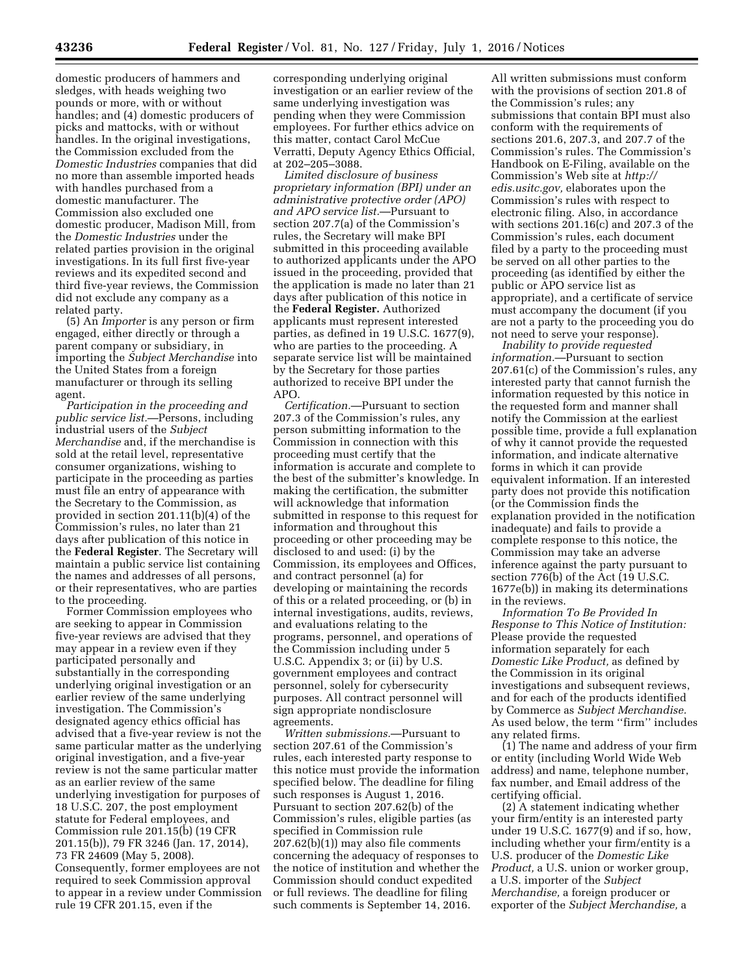domestic producers of hammers and sledges, with heads weighing two pounds or more, with or without handles; and (4) domestic producers of picks and mattocks, with or without handles. In the original investigations, the Commission excluded from the *Domestic Industries* companies that did no more than assemble imported heads with handles purchased from a domestic manufacturer. The Commission also excluded one domestic producer, Madison Mill, from the *Domestic Industries* under the related parties provision in the original investigations. In its full first five-year reviews and its expedited second and third five-year reviews, the Commission did not exclude any company as a related party.

(5) An *Importer* is any person or firm engaged, either directly or through a parent company or subsidiary, in importing the *Subject Merchandise* into the United States from a foreign manufacturer or through its selling agent.

*Participation in the proceeding and public service list.*—Persons, including industrial users of the *Subject Merchandise* and, if the merchandise is sold at the retail level, representative consumer organizations, wishing to participate in the proceeding as parties must file an entry of appearance with the Secretary to the Commission, as provided in section 201.11(b)(4) of the Commission's rules, no later than 21 days after publication of this notice in the **Federal Register**. The Secretary will maintain a public service list containing the names and addresses of all persons, or their representatives, who are parties to the proceeding.

Former Commission employees who are seeking to appear in Commission five-year reviews are advised that they may appear in a review even if they participated personally and substantially in the corresponding underlying original investigation or an earlier review of the same underlying investigation. The Commission's designated agency ethics official has advised that a five-year review is not the same particular matter as the underlying original investigation, and a five-year review is not the same particular matter as an earlier review of the same underlying investigation for purposes of 18 U.S.C. 207, the post employment statute for Federal employees, and Commission rule 201.15(b) (19 CFR 201.15(b)), 79 FR 3246 (Jan. 17, 2014), 73 FR 24609 (May 5, 2008). Consequently, former employees are not required to seek Commission approval to appear in a review under Commission rule 19 CFR 201.15, even if the

corresponding underlying original investigation or an earlier review of the same underlying investigation was pending when they were Commission employees. For further ethics advice on this matter, contact Carol McCue Verratti, Deputy Agency Ethics Official, at 202–205–3088.

*Limited disclosure of business proprietary information (BPI) under an administrative protective order (APO) and APO service list.*—Pursuant to section 207.7(a) of the Commission's rules, the Secretary will make BPI submitted in this proceeding available to authorized applicants under the APO issued in the proceeding, provided that the application is made no later than 21 days after publication of this notice in the **Federal Register.** Authorized applicants must represent interested parties, as defined in 19 U.S.C. 1677(9), who are parties to the proceeding. A separate service list will be maintained by the Secretary for those parties authorized to receive BPI under the APO.

*Certification.*—Pursuant to section 207.3 of the Commission's rules, any person submitting information to the Commission in connection with this proceeding must certify that the information is accurate and complete to the best of the submitter's knowledge. In making the certification, the submitter will acknowledge that information submitted in response to this request for information and throughout this proceeding or other proceeding may be disclosed to and used: (i) by the Commission, its employees and Offices, and contract personnel (a) for developing or maintaining the records of this or a related proceeding, or (b) in internal investigations, audits, reviews, and evaluations relating to the programs, personnel, and operations of the Commission including under 5 U.S.C. Appendix 3; or (ii) by U.S. government employees and contract personnel, solely for cybersecurity purposes. All contract personnel will sign appropriate nondisclosure agreements.

*Written submissions.*—Pursuant to section 207.61 of the Commission's rules, each interested party response to this notice must provide the information specified below. The deadline for filing such responses is August 1, 2016. Pursuant to section 207.62(b) of the Commission's rules, eligible parties (as specified in Commission rule 207.62(b)(1)) may also file comments concerning the adequacy of responses to the notice of institution and whether the Commission should conduct expedited or full reviews. The deadline for filing such comments is September 14, 2016.

All written submissions must conform with the provisions of section 201.8 of the Commission's rules; any submissions that contain BPI must also conform with the requirements of sections 201.6, 207.3, and 207.7 of the Commission's rules. The Commission's Handbook on E-Filing, available on the Commission's Web site at *[http://](http://edis.usitc.gov) [edis.usitc.gov,](http://edis.usitc.gov)* elaborates upon the Commission's rules with respect to electronic filing. Also, in accordance with sections 201.16(c) and 207.3 of the Commission's rules, each document filed by a party to the proceeding must be served on all other parties to the proceeding (as identified by either the public or APO service list as appropriate), and a certificate of service must accompany the document (if you are not a party to the proceeding you do not need to serve your response).

*Inability to provide requested information.*—Pursuant to section 207.61(c) of the Commission's rules, any interested party that cannot furnish the information requested by this notice in the requested form and manner shall notify the Commission at the earliest possible time, provide a full explanation of why it cannot provide the requested information, and indicate alternative forms in which it can provide equivalent information. If an interested party does not provide this notification (or the Commission finds the explanation provided in the notification inadequate) and fails to provide a complete response to this notice, the Commission may take an adverse inference against the party pursuant to section 776(b) of the Act (19 U.S.C. 1677e(b)) in making its determinations in the reviews.

*Information To Be Provided In Response to This Notice of Institution:*  Please provide the requested information separately for each *Domestic Like Product,* as defined by the Commission in its original investigations and subsequent reviews, and for each of the products identified by Commerce as *Subject Merchandise.*  As used below, the term ''firm'' includes any related firms.

(1) The name and address of your firm or entity (including World Wide Web address) and name, telephone number, fax number, and Email address of the certifying official.

(2) A statement indicating whether your firm/entity is an interested party under 19 U.S.C. 1677(9) and if so, how, including whether your firm/entity is a U.S. producer of the *Domestic Like Product,* a U.S. union or worker group, a U.S. importer of the *Subject Merchandise,* a foreign producer or exporter of the *Subject Merchandise,* a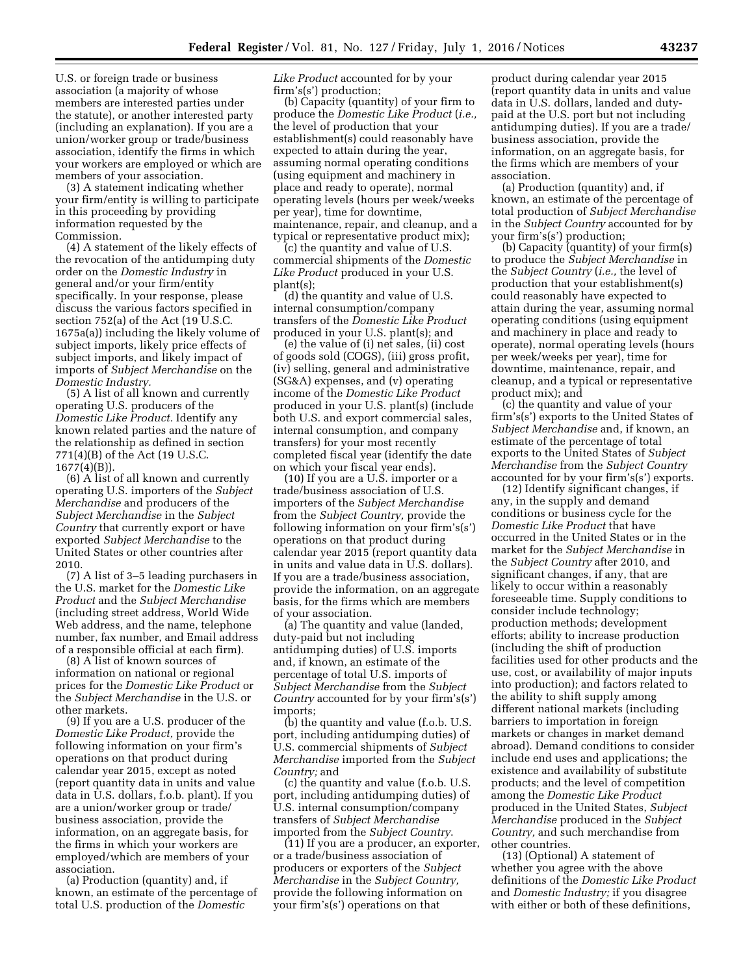U.S. or foreign trade or business association (a majority of whose members are interested parties under the statute), or another interested party (including an explanation). If you are a union/worker group or trade/business association, identify the firms in which your workers are employed or which are members of your association.

(3) A statement indicating whether your firm/entity is willing to participate in this proceeding by providing information requested by the Commission.

(4) A statement of the likely effects of the revocation of the antidumping duty order on the *Domestic Industry* in general and/or your firm/entity specifically. In your response, please discuss the various factors specified in section 752(a) of the Act (19 U.S.C. 1675a(a)) including the likely volume of subject imports, likely price effects of subject imports, and likely impact of imports of *Subject Merchandise* on the *Domestic Industry.* 

(5) A list of all known and currently operating U.S. producers of the *Domestic Like Product.* Identify any known related parties and the nature of the relationship as defined in section 771(4)(B) of the Act (19 U.S.C. 1677(4)(B)).

(6) A list of all known and currently operating U.S. importers of the *Subject Merchandise* and producers of the *Subject Merchandise* in the *Subject Country* that currently export or have exported *Subject Merchandise* to the United States or other countries after 2010.

(7) A list of 3–5 leading purchasers in the U.S. market for the *Domestic Like Product* and the *Subject Merchandise*  (including street address, World Wide Web address, and the name, telephone number, fax number, and Email address of a responsible official at each firm).

(8) A list of known sources of information on national or regional prices for the *Domestic Like Product* or the *Subject Merchandise* in the U.S. or other markets.

(9) If you are a U.S. producer of the *Domestic Like Product,* provide the following information on your firm's operations on that product during calendar year 2015, except as noted (report quantity data in units and value data in U.S. dollars, f.o.b. plant). If you are a union/worker group or trade/ business association, provide the information, on an aggregate basis, for the firms in which your workers are employed/which are members of your association.

(a) Production (quantity) and, if known, an estimate of the percentage of total U.S. production of the *Domestic* 

*Like Product* accounted for by your firm's(s') production;

(b) Capacity (quantity) of your firm to produce the *Domestic Like Product* (*i.e.,*  the level of production that your establishment(s) could reasonably have expected to attain during the year, assuming normal operating conditions (using equipment and machinery in place and ready to operate), normal operating levels (hours per week/weeks per year), time for downtime, maintenance, repair, and cleanup, and a typical or representative product mix);

(c) the quantity and value of U.S. commercial shipments of the *Domestic Like Product* produced in your U.S. plant(s);

(d) the quantity and value of U.S. internal consumption/company transfers of the *Domestic Like Product*  produced in your U.S. plant(s); and

(e) the value of (i) net sales, (ii) cost of goods sold (COGS), (iii) gross profit, (iv) selling, general and administrative (SG&A) expenses, and (v) operating income of the *Domestic Like Product*  produced in your U.S. plant(s) (include both U.S. and export commercial sales, internal consumption, and company transfers) for your most recently completed fiscal year (identify the date on which your fiscal year ends).

(10) If you are a U.S. importer or a trade/business association of U.S. importers of the *Subject Merchandise*  from the *Subject Country,* provide the following information on your firm's(s') operations on that product during calendar year 2015 (report quantity data in units and value data in U.S. dollars). If you are a trade/business association, provide the information, on an aggregate basis, for the firms which are members of your association.

(a) The quantity and value (landed, duty-paid but not including antidumping duties) of U.S. imports and, if known, an estimate of the percentage of total U.S. imports of *Subject Merchandise* from the *Subject Country* accounted for by your firm's(s') imports;

(b) the quantity and value (f.o.b. U.S. port, including antidumping duties) of U.S. commercial shipments of *Subject Merchandise* imported from the *Subject Country;* and

(c) the quantity and value (f.o.b. U.S. port, including antidumping duties) of U.S. internal consumption/company transfers of *Subject Merchandise*  imported from the *Subject Country*.

(11) If you are a producer, an exporter, or a trade/business association of producers or exporters of the *Subject Merchandise* in the *Subject Country,*  provide the following information on your firm's(s') operations on that

product during calendar year 2015 (report quantity data in units and value data in U.S. dollars, landed and dutypaid at the U.S. port but not including antidumping duties). If you are a trade/ business association, provide the information, on an aggregate basis, for the firms which are members of your association.

(a) Production (quantity) and, if known, an estimate of the percentage of total production of *Subject Merchandise*  in the *Subject Country* accounted for by your firm's(s') production;

(b) Capacity (quantity) of your firm(s) to produce the *Subject Merchandise* in the *Subject Country* (*i.e.,* the level of production that your establishment(s) could reasonably have expected to attain during the year, assuming normal operating conditions (using equipment and machinery in place and ready to operate), normal operating levels (hours per week/weeks per year), time for downtime, maintenance, repair, and cleanup, and a typical or representative product mix); and

(c) the quantity and value of your firm's(s') exports to the United States of *Subject Merchandise* and, if known, an estimate of the percentage of total exports to the United States of *Subject Merchandise* from the *Subject Country*  accounted for by your firm's(s') exports.

(12) Identify significant changes, if any, in the supply and demand conditions or business cycle for the *Domestic Like Product* that have occurred in the United States or in the market for the *Subject Merchandise* in the *Subject Country* after 2010, and significant changes, if any, that are likely to occur within a reasonably foreseeable time. Supply conditions to consider include technology; production methods; development efforts; ability to increase production (including the shift of production facilities used for other products and the use, cost, or availability of major inputs into production); and factors related to the ability to shift supply among different national markets (including barriers to importation in foreign markets or changes in market demand abroad). Demand conditions to consider include end uses and applications; the existence and availability of substitute products; and the level of competition among the *Domestic Like Product*  produced in the United States, *Subject Merchandise* produced in the *Subject Country,* and such merchandise from other countries.

(13) (Optional) A statement of whether you agree with the above definitions of the *Domestic Like Product*  and *Domestic Industry;* if you disagree with either or both of these definitions,